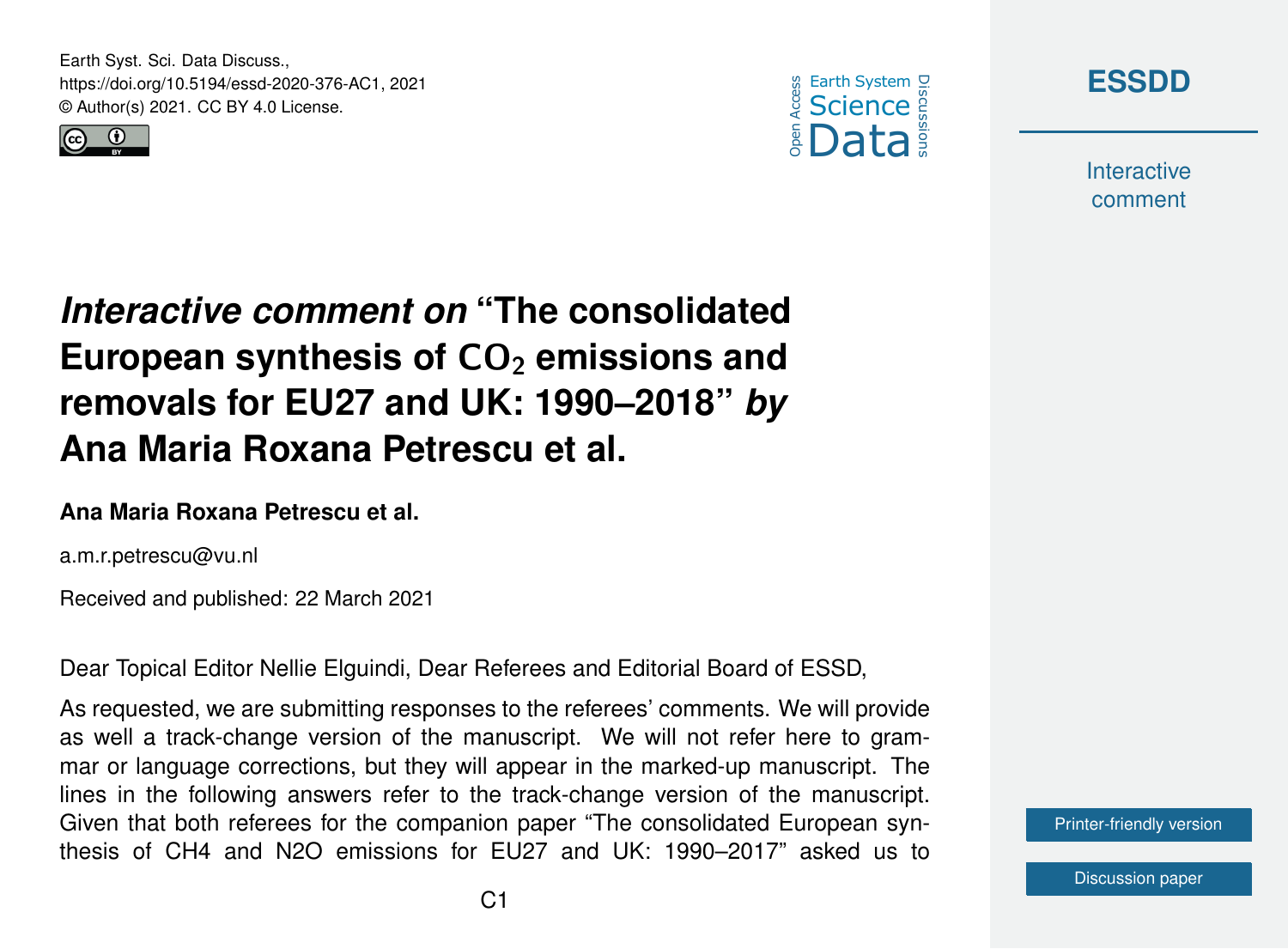Earth Syst. Sci. Data Discuss., https://doi.org/10.5194/essd-2020-376-AC1, 2021 © Author(s) 2021. CC BY 4.0 License.







**Interactive** comment

*Interactive comment on* **"The consolidated** European synthesis of CO<sub>2</sub> emissions and **removals for EU27 and UK: 1990–2018"** *by* **Ana Maria Roxana Petrescu et al.**

## **Ana Maria Roxana Petrescu et al.**

a.m.r.petrescu@vu.nl

Received and published: 22 March 2021

Dear Topical Editor Nellie Elguindi, Dear Referees and Editorial Board of ESSD,

As requested, we are submitting responses to the referees' comments. We will provide as well a track-change version of the manuscript. We will not refer here to grammar or language corrections, but they will appear in the marked-up manuscript. The lines in the following answers refer to the track-change version of the manuscript. Given that both referees for the companion paper "The consolidated European synthesis of CH4 and N2O emissions for EU27 and UK: 1990–2017" asked us to

[Printer-friendly version](https://essd.copernicus.org/preprints/essd-2020-376/essd-2020-376-AC1-print.pdf)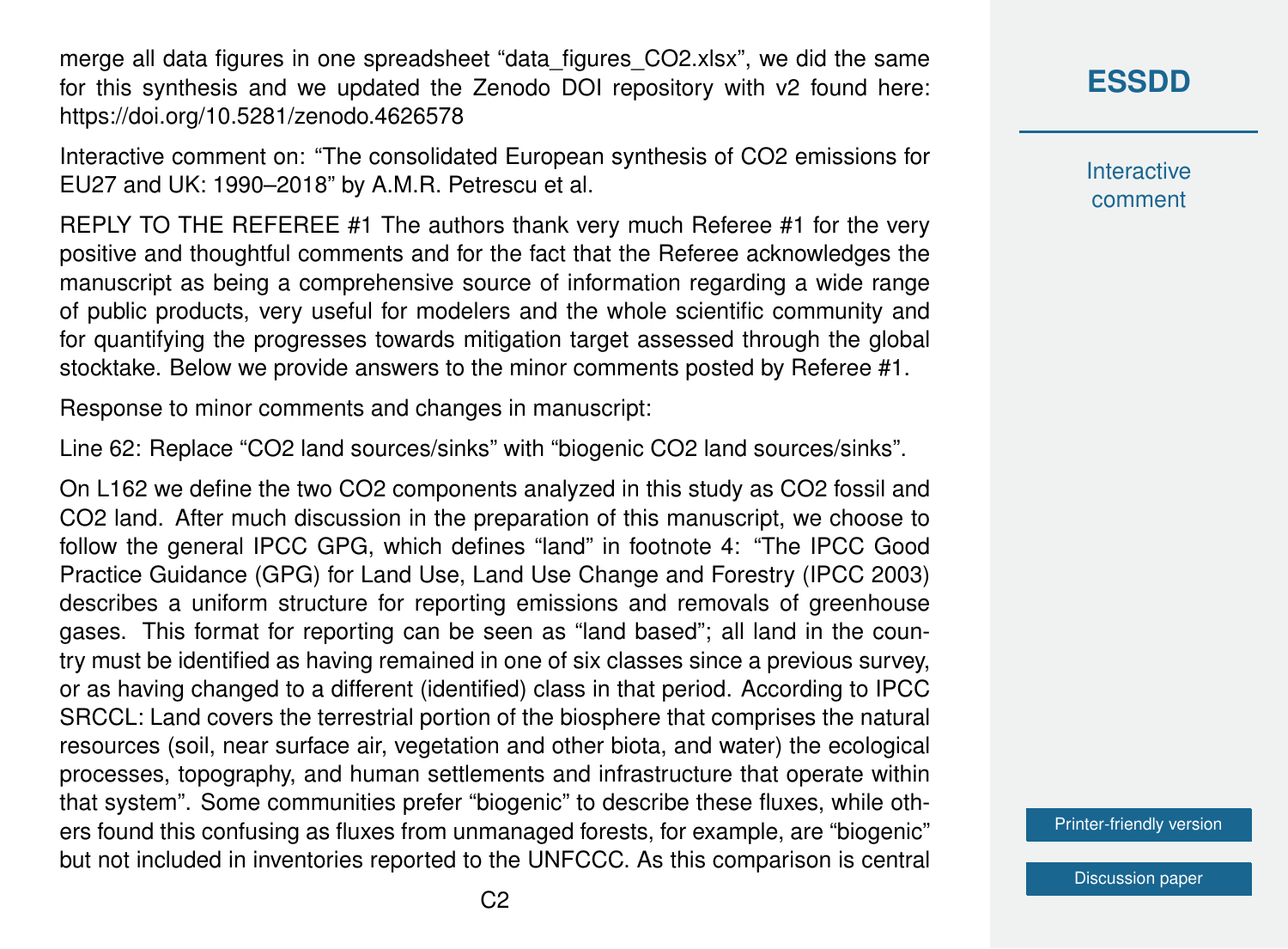merge all data figures in one spreadsheet "data\_figures\_CO2.xlsx", we did the same for this synthesis and we updated the Zenodo DOI repository with v2 found here: https://doi.org/10.5281/zenodo.4626578

Interactive comment on: "The consolidated European synthesis of CO2 emissions for EU27 and UK: 1990–2018" by A.M.R. Petrescu et al.

REPLY TO THE REFEREE #1 The authors thank very much Referee #1 for the very positive and thoughtful comments and for the fact that the Referee acknowledges the manuscript as being a comprehensive source of information regarding a wide range of public products, very useful for modelers and the whole scientific community and for quantifying the progresses towards mitigation target assessed through the global stocktake. Below we provide answers to the minor comments posted by Referee #1.

Response to minor comments and changes in manuscript:

Line 62: Replace "CO2 land sources/sinks" with "biogenic CO2 land sources/sinks".

On L162 we define the two CO2 components analyzed in this study as CO2 fossil and CO2 land. After much discussion in the preparation of this manuscript, we choose to follow the general IPCC GPG, which defines "land" in footnote 4: "The IPCC Good Practice Guidance (GPG) for Land Use, Land Use Change and Forestry (IPCC 2003) describes a uniform structure for reporting emissions and removals of greenhouse gases. This format for reporting can be seen as "land based"; all land in the country must be identified as having remained in one of six classes since a previous survey, or as having changed to a different (identified) class in that period. According to IPCC SRCCL: Land covers the terrestrial portion of the biosphere that comprises the natural resources (soil, near surface air, vegetation and other biota, and water) the ecological processes, topography, and human settlements and infrastructure that operate within that system". Some communities prefer "biogenic" to describe these fluxes, while others found this confusing as fluxes from unmanaged forests, for example, are "biogenic" but not included in inventories reported to the UNFCCC. As this comparison is central

## **[ESSDD](https://essd.copernicus.org/preprints/)**

**Interactive** comment

[Printer-friendly version](https://essd.copernicus.org/preprints/essd-2020-376/essd-2020-376-AC1-print.pdf)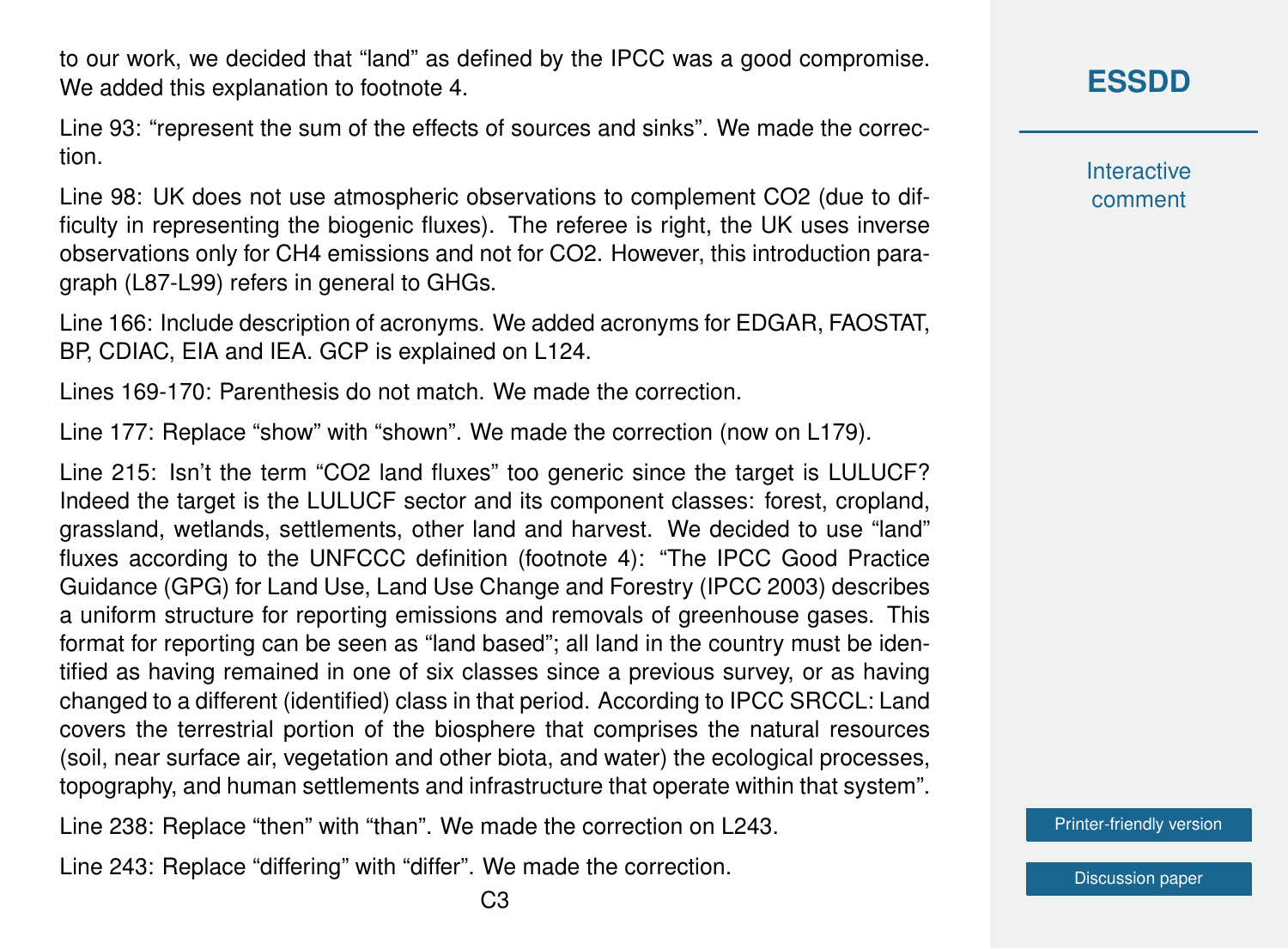to our work, we decided that "land" as defined by the IPCC was a good compromise. We added this explanation to footnote 4.

Line 93: "represent the sum of the effects of sources and sinks". We made the correction.

Line 98: UK does not use atmospheric observations to complement CO2 (due to difficulty in representing the biogenic fluxes). The referee is right, the UK uses inverse observations only for CH4 emissions and not for CO2. However, this introduction paragraph (L87-L99) refers in general to GHGs.

Line 166: Include description of acronyms. We added acronyms for EDGAR, FAOSTAT, BP, CDIAC, EIA and IEA. GCP is explained on L124.

Lines 169-170: Parenthesis do not match. We made the correction.

Line 177: Replace "show" with "shown". We made the correction (now on L179).

Line 215: Isn't the term "CO2 land fluxes" too generic since the target is LULUCF? Indeed the target is the LULUCF sector and its component classes: forest, cropland, grassland, wetlands, settlements, other land and harvest. We decided to use "land" fluxes according to the UNFCCC definition (footnote 4): "The IPCC Good Practice Guidance (GPG) for Land Use, Land Use Change and Forestry (IPCC 2003) describes a uniform structure for reporting emissions and removals of greenhouse gases. This format for reporting can be seen as "land based"; all land in the country must be identified as having remained in one of six classes since a previous survey, or as having changed to a different (identified) class in that period. According to IPCC SRCCL: Land covers the terrestrial portion of the biosphere that comprises the natural resources (soil, near surface air, vegetation and other biota, and water) the ecological processes, topography, and human settlements and infrastructure that operate within that system".

Line 238: Replace "then" with "than". We made the correction on L243.

Line 243: Replace "differing" with "differ". We made the correction.

**[ESSDD](https://essd.copernicus.org/preprints/)**

**Interactive** comment

[Printer-friendly version](https://essd.copernicus.org/preprints/essd-2020-376/essd-2020-376-AC1-print.pdf)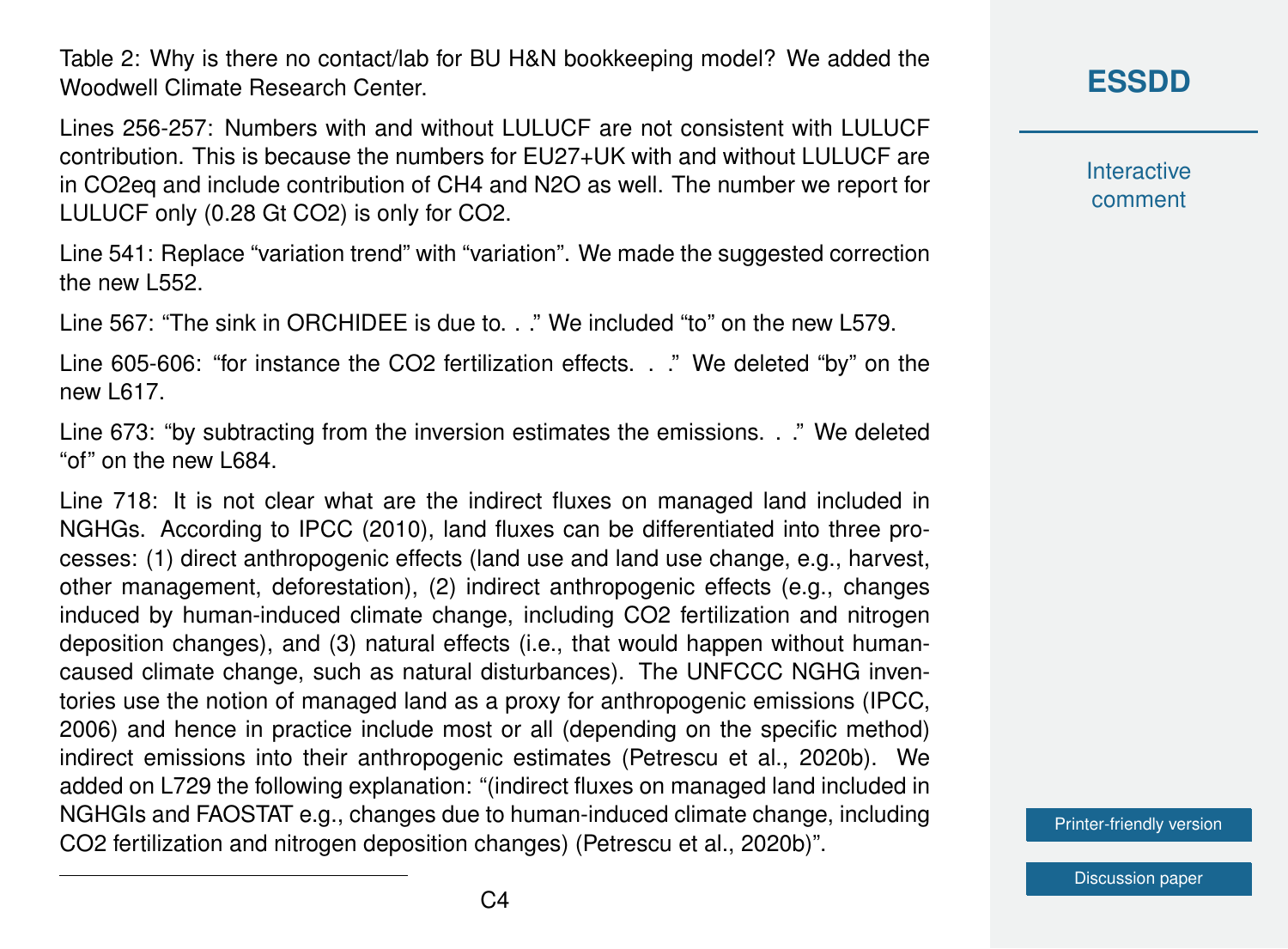Table 2: Why is there no contact/lab for BU H&N bookkeeping model? We added the Woodwell Climate Research Center.

Lines 256-257: Numbers with and without LULUCF are not consistent with LULUCF contribution. This is because the numbers for EU27+UK with and without LULUCF are in CO2eq and include contribution of CH4 and N2O as well. The number we report for LULUCF only (0.28 Gt CO2) is only for CO2.

Line 541: Replace "variation trend" with "variation". We made the suggested correction the new L552.

Line 567: "The sink in ORCHIDEE is due to. . ." We included "to" on the new L579.

Line 605-606: "for instance the CO2 fertilization effects. . ." We deleted "by" on the new L617.

Line 673: "by subtracting from the inversion estimates the emissions. . ." We deleted "of" on the new L684.

Line 718: It is not clear what are the indirect fluxes on managed land included in NGHGs. According to IPCC (2010), land fluxes can be differentiated into three processes: (1) direct anthropogenic effects (land use and land use change, e.g., harvest, other management, deforestation), (2) indirect anthropogenic effects (e.g., changes induced by human-induced climate change, including CO2 fertilization and nitrogen deposition changes), and (3) natural effects (i.e., that would happen without humancaused climate change, such as natural disturbances). The UNFCCC NGHG inventories use the notion of managed land as a proxy for anthropogenic emissions (IPCC, 2006) and hence in practice include most or all (depending on the specific method) indirect emissions into their anthropogenic estimates (Petrescu et al., 2020b). We added on L729 the following explanation: "(indirect fluxes on managed land included in NGHGIs and FAOSTAT e.g., changes due to human-induced climate change, including CO2 fertilization and nitrogen deposition changes) (Petrescu et al., 2020b)".

**[ESSDD](https://essd.copernicus.org/preprints/)**

**Interactive** comment

[Printer-friendly version](https://essd.copernicus.org/preprints/essd-2020-376/essd-2020-376-AC1-print.pdf)